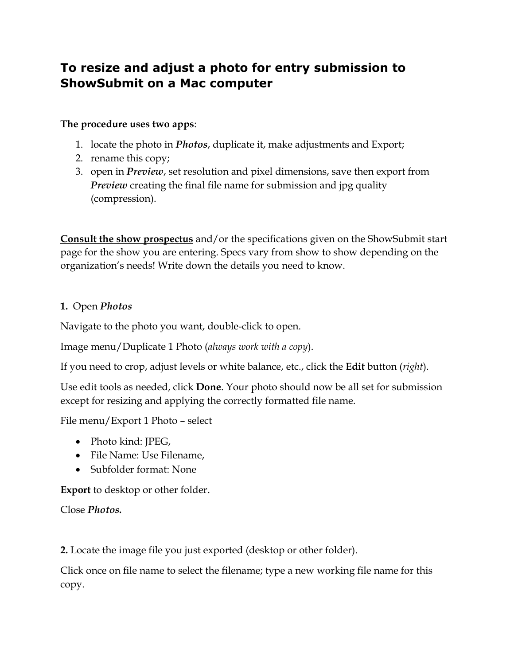## **To resize and adjust a photo for entry submission to ShowSubmit on a Mac computer**

## **The procedure uses two apps**:

- 1. locate the photo in *Photos*, duplicate it, make adjustments and Export;
- 2. rename this copy;
- 3. open in *Preview*, set resolution and pixel dimensions, save then export from *Preview* creating the final file name for submission and jpg quality (compression).

**Consult the show prospectus** and/or the specifications given on the ShowSubmit start page for the show you are entering. Specs vary from show to show depending on the organization's needs! Write down the details you need to know.

## **1.** Open *Photos*

Navigate to the photo you want, double-click to open.

Image menu/Duplicate 1 Photo (*always work with a copy*).

If you need to crop, adjust levels or white balance, etc., click the **Edit** button (*right*).

Use edit tools as needed, click **Done**. Your photo should now be all set for submission except for resizing and applying the correctly formatted file name.

File menu/Export 1 Photo – select

- Photo kind: JPEG,
- File Name: Use Filename,
- Subfolder format: None

**Export** to desktop or other folder.

Close *Photos.*

**2.** Locate the image file you just exported (desktop or other folder).

Click once on file name to select the filename; type a new working file name for this copy.